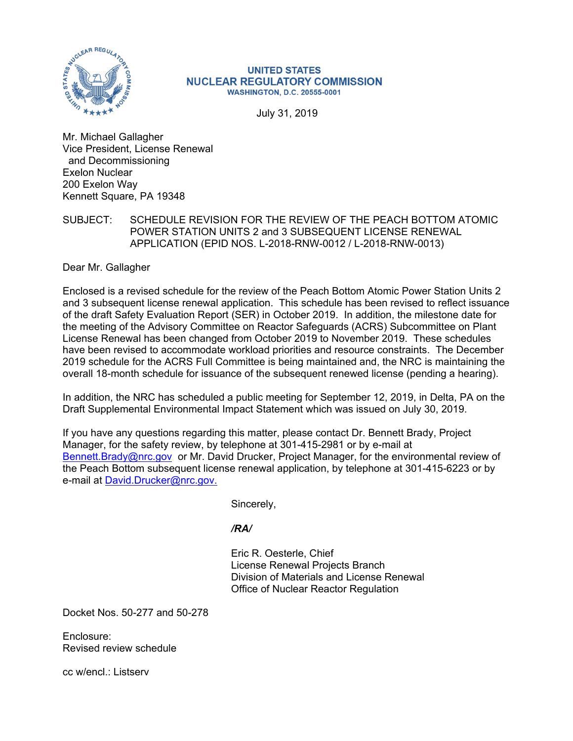

#### **UNITED STATES NUCLEAR REGULATORY COMMISSION WASHINGTON, D.C. 20555-0001**

July 31, 2019

Mr. Michael Gallagher Vice President, License Renewal and Decommissioning Exelon Nuclear 200 Exelon Way Kennett Square, PA 19348

# SUBJECT: SCHEDULE REVISION FOR THE REVIEW OF THE PEACH BOTTOM ATOMIC POWER STATION UNITS 2 and 3 SUBSEQUENT LICENSE RENEWAL APPLICATION (EPID NOS. L-2018-RNW-0012 / L-2018-RNW-0013)

Dear Mr. Gallagher

Enclosed is a revised schedule for the review of the Peach Bottom Atomic Power Station Units 2 and 3 subsequent license renewal application. This schedule has been revised to reflect issuance of the draft Safety Evaluation Report (SER) in October 2019. In addition, the milestone date for the meeting of the Advisory Committee on Reactor Safeguards (ACRS) Subcommittee on Plant License Renewal has been changed from October 2019 to November 2019. These schedules have been revised to accommodate workload priorities and resource constraints. The December 2019 schedule for the ACRS Full Committee is being maintained and, the NRC is maintaining the overall 18-month schedule for issuance of the subsequent renewed license (pending a hearing).

In addition, the NRC has scheduled a public meeting for September 12, 2019, in Delta, PA on the Draft Supplemental Environmental Impact Statement which was issued on July 30, 2019.

If you have any questions regarding this matter, please contact Dr. Bennett Brady, Project Manager, for the safety review, by telephone at 301-415-2981 or by e-mail at Bennett.Brady@nrc.gov or Mr. David Drucker, Project Manager, for the environmental review of the Peach Bottom subsequent license renewal application, by telephone at 301-415-6223 or by e-mail at David.Drucker@nrc.gov.

Sincerely,

# */RA/*

Eric R. Oesterle, Chief License Renewal Projects Branch Division of Materials and License Renewal Office of Nuclear Reactor Regulation

Docket Nos. 50-277 and 50-278

Enclosure: Revised review schedule

cc w/encl · Listserv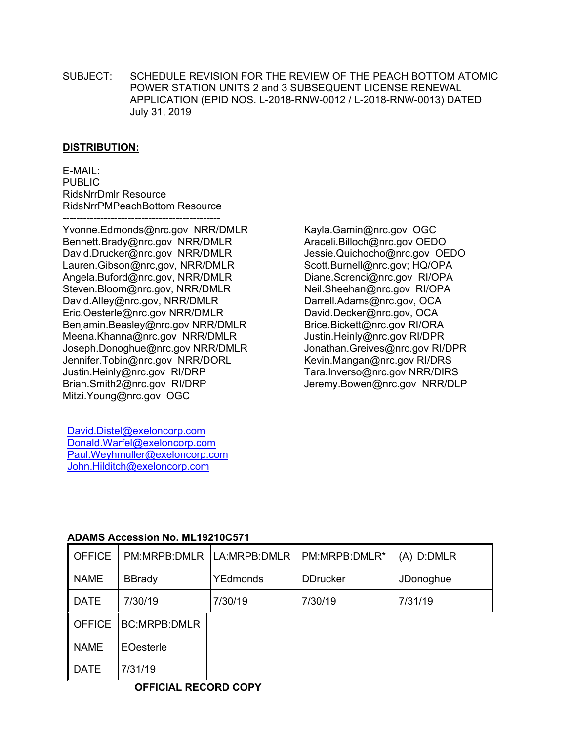SUBJECT: SCHEDULE REVISION FOR THE REVIEW OF THE PEACH BOTTOM ATOMIC POWER STATION UNITS 2 and 3 SUBSEQUENT LICENSE RENEWAL APPLICATION (EPID NOS. L-2018-RNW-0012 / L-2018-RNW-0013) DATED July 31, 2019

### **DISTRIBUTION:**

E-MAIL: PUBLIC RidsNrrDmlr Resource RidsNrrPMPeachBottom Resource ----------------------------------------------

Yvonne.Edmonds@nrc.gov NRR/DMLR Bennett.Brady@nrc.gov NRR/DMLR David.Drucker@nrc.gov NRR/DMLR Lauren.Gibson@nrc,gov, NRR/DMLR Angela.Buford@nrc.gov, NRR/DMLR Steven.Bloom@nrc.gov, NRR/DMLR David.Alley@nrc.gov, NRR/DMLR Eric.Oesterle@nrc.gov NRR/DMLR Benjamin.Beasley@nrc.gov NRR/DMLR Meena.Khanna@nrc.gov NRR/DMLR Joseph.Donoghue@nrc.gov NRR/DMLR Jennifer.Tobin@nrc.gov NRR/DORL Justin.Heinly@nrc.gov RI/DRP Brian.Smith2@nrc.gov RI/DRP Mitzi.Young@nrc.gov OGC

Kayla.Gamin@nrc.gov OGC Araceli.Billoch@nrc.gov OEDO Jessie.Quichocho@nrc.gov OEDO Scott.Burnell@nrc.gov; HQ/OPA Diane.Screnci@nrc.gov RI/OPA Neil.Sheehan@nrc.gov RI/OPA Darrell.Adams@nrc.gov, OCA David.Decker@nrc.gov, OCA Brice.Bickett@nrc.gov RI/ORA Justin.Heinly@nrc.gov RI/DPR Jonathan.Greives@nrc.gov RI/DPR Kevin.Mangan@nrc.gov RI/DRS Tara.Inverso@nrc.gov NRR/DIRS Jeremy.Bowen@nrc.gov NRR/DLP

David.Distel@exeloncorp.com Donald.Warfel@exeloncorp.com Paul.Weyhmuller@exeloncorp.com John.Hilditch@exeloncorp.com

# **ADAMS Accession No. ML19210C571**

| <b>OFFICE</b> | PM:MRPB:DMLR   LA:MRPB:DMLR   |          | PM:MRPB:DMLR*   | (A) D:DMLR |  |  |
|---------------|-------------------------------|----------|-----------------|------------|--|--|
| <b>NAME</b>   | <b>BBrady</b>                 | YEdmonds | <b>DDrucker</b> | JDonoghue  |  |  |
| <b>DATE</b>   | 7/30/19                       | 7/30/19  | 7/30/19         | 7/31/19    |  |  |
| <b>OFFICE</b> | <b>BC:MRPB:DMLR</b>           |          |                 |            |  |  |
| <b>NAME</b>   | EOesterle                     |          |                 |            |  |  |
| <b>DATE</b>   | 7/31/19                       |          |                 |            |  |  |
|               | ------ ----<br><b>APPIAII</b> |          |                 |            |  |  |

**OFFICIAL RECORD COPY**